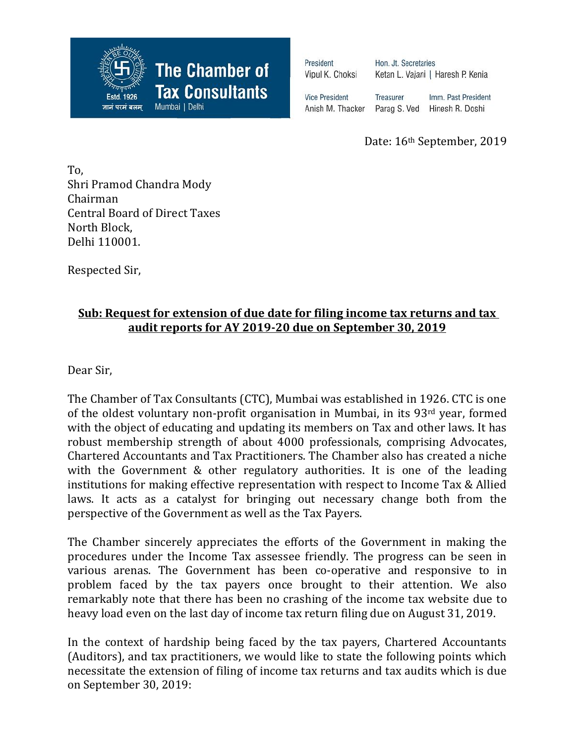

President Vipul K. Choksi

Hon. Jt. Secretaries Ketan L. Vajani | Haresh P. Kenia

**Vice President** Anish M. Thacker

Treasurer Imm. Past President Parag S. Ved Hinesh R. Doshi

Date: 16th September, 2019

To, Shri Pramod Chandra Mody Chairman Central Board of Direct Taxes North Block, Delhi 110001.

Respected Sir,

## **Sub: Request for extension of due date for filing income tax returns and tax audit reports for AY 2019-20 due on September 30, 2019**

Dear Sir,

The Chamber of Tax Consultants (CTC), Mumbai was established in 1926. CTC is one of the oldest voluntary non-profit organisation in Mumbai, in its 93rd year, formed with the object of educating and updating its members on Tax and other laws. It has robust membership strength of about 4000 professionals, comprising Advocates, Chartered Accountants and Tax Practitioners. The Chamber also has created a niche with the Government & other regulatory authorities. It is one of the leading institutions for making effective representation with respect to Income Tax & Allied laws. It acts as a catalyst for bringing out necessary change both from the perspective of the Government as well as the Tax Payers.

The Chamber sincerely appreciates the efforts of the Government in making the procedures under the Income Tax assessee friendly. The progress can be seen in various arenas. The Government has been co-operative and responsive to in problem faced by the tax payers once brought to their attention. We also remarkably note that there has been no crashing of the income tax website due to heavy load even on the last day of income tax return filing due on August 31, 2019.

In the context of hardship being faced by the tax payers, Chartered Accountants (Auditors), and tax practitioners, we would like to state the following points which necessitate the extension of filing of income tax returns and tax audits which is due on September 30, 2019: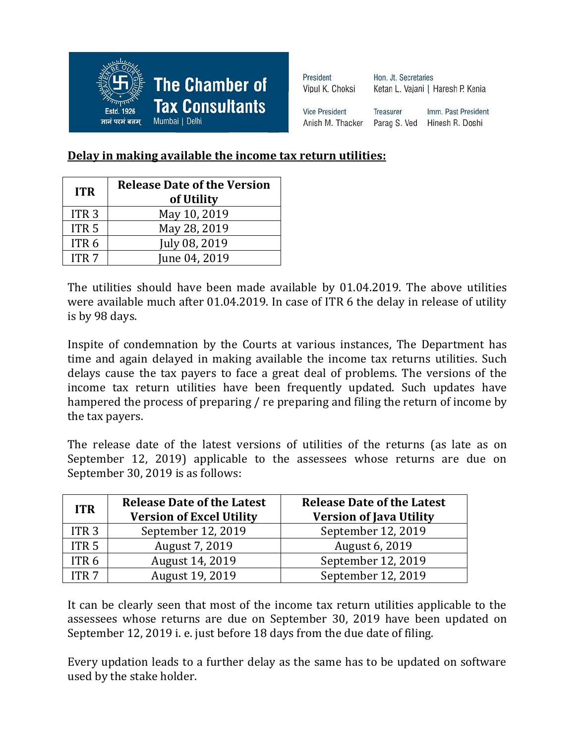

| President             | Hon, Jt. Secretaries |                                   |  |
|-----------------------|----------------------|-----------------------------------|--|
| Vipul K. Choksi       |                      | Ketan L. Vajani   Haresh P. Kenia |  |
| <b>Vice President</b> | <b>Treasurer</b>     | Imm. Past President               |  |
| Anish M. Thacker      | Parag S. Ved         | Hinesh R. Doshi                   |  |

## **Delay in making available the income tax return utilities:**

| <b>ITR</b>       | <b>Release Date of the Version</b> |  |
|------------------|------------------------------------|--|
|                  | of Utility                         |  |
| ITR <sub>3</sub> | May 10, 2019                       |  |
| ITR <sub>5</sub> | May 28, 2019                       |  |
| ITR <sub>6</sub> | July 08, 2019                      |  |
| ITR <sub>7</sub> | June 04, 2019                      |  |

The utilities should have been made available by 01.04.2019. The above utilities were available much after 01.04.2019. In case of ITR 6 the delay in release of utility is by 98 days.

Inspite of condemnation by the Courts at various instances, The Department has time and again delayed in making available the income tax returns utilities. Such delays cause the tax payers to face a great deal of problems. The versions of the income tax return utilities have been frequently updated. Such updates have hampered the process of preparing / re preparing and filing the return of income by the tax payers.

The release date of the latest versions of utilities of the returns (as late as on September 12, 2019) applicable to the assessees whose returns are due on September 30, 2019 is as follows:

| <b>ITR</b>       | <b>Release Date of the Latest</b><br><b>Version of Excel Utility</b> | <b>Release Date of the Latest</b><br><b>Version of Java Utility</b> |
|------------------|----------------------------------------------------------------------|---------------------------------------------------------------------|
| ITR <sub>3</sub> | September 12, 2019                                                   | September 12, 2019                                                  |
| ITR <sub>5</sub> | August 7, 2019                                                       | August 6, 2019                                                      |
| ITR <sub>6</sub> | August 14, 2019                                                      | September 12, 2019                                                  |
| ITR 7            | August 19, 2019                                                      | September 12, 2019                                                  |

It can be clearly seen that most of the income tax return utilities applicable to the assessees whose returns are due on September 30, 2019 have been updated on September 12, 2019 i. e. just before 18 days from the due date of filing.

Every updation leads to a further delay as the same has to be updated on software used by the stake holder.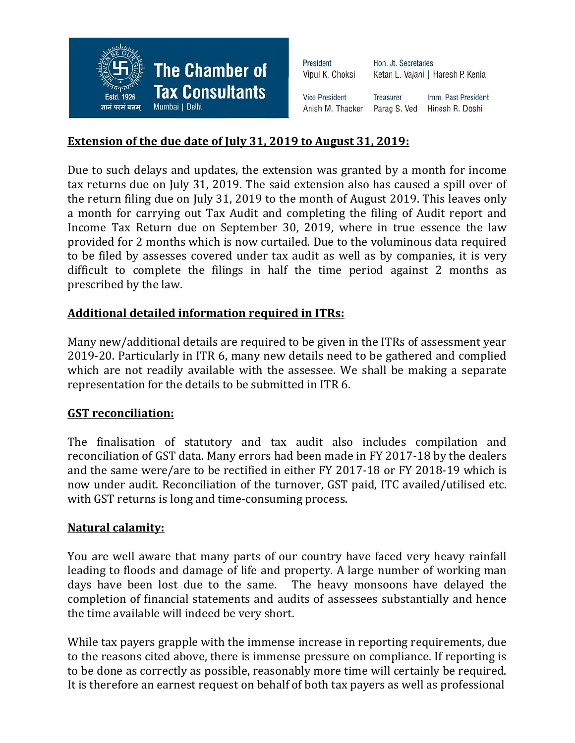

| Hon. Jt. Secretaries |                                   |
|----------------------|-----------------------------------|
|                      | Ketan L. Vajani   Haresh P. Kenia |
| Treasurer            | Imm. Past President               |
| Parag S. Ved         | Hinesh R. Doshi                   |
|                      |                                   |

### **Extension of the due date of July 31, 2019 to August 31, 2019:**

Due to such delays and updates, the extension was granted by a month for income tax returns due on July 31, 2019. The said extension also has caused a spill over of the return filing due on July 31, 2019 to the month of August 2019. This leaves only a month for carrying out Tax Audit and completing the filing of Audit report and Income Tax Return due on September 30, 2019, where in true essence the law provided for 2 months which is now curtailed. Due to the voluminous data required to be filed by assesses covered under tax audit as well as by companies, it is very difficult to complete the filings in half the time period against 2 months as prescribed by the law.

#### **Additional detailed information required in ITRs:**

Many new/additional details are required to be given in the ITRs of assessment year 2019-20. Particularly in ITR 6, many new details need to be gathered and complied which are not readily available with the assessee. We shall be making a separate representation for the details to be submitted in ITR 6.

#### **GST reconciliation:**

The finalisation of statutory and tax audit also includes compilation and reconciliation of GST data. Many errors had been made in FY 2017-18 by the dealers and the same were/are to be rectified in either FY 2017-18 or FY 2018-19 which is now under audit. Reconciliation of the turnover, GST paid, ITC availed/utilised etc. with GST returns is long and time-consuming process.

#### **Natural calamity:**

You are well aware that many parts of our country have faced very heavy rainfall leading to floods and damage of life and property. A large number of working man days have been lost due to the same. The heavy monsoons have delayed the completion of financial statements and audits of assessees substantially and hence the time available will indeed be very short.

While tax payers grapple with the immense increase in reporting requirements, due to the reasons cited above, there is immense pressure on compliance. If reporting is to be done as correctly as possible, reasonably more time will certainly be required. It is therefore an earnest request on behalf of both tax payers as well as professional